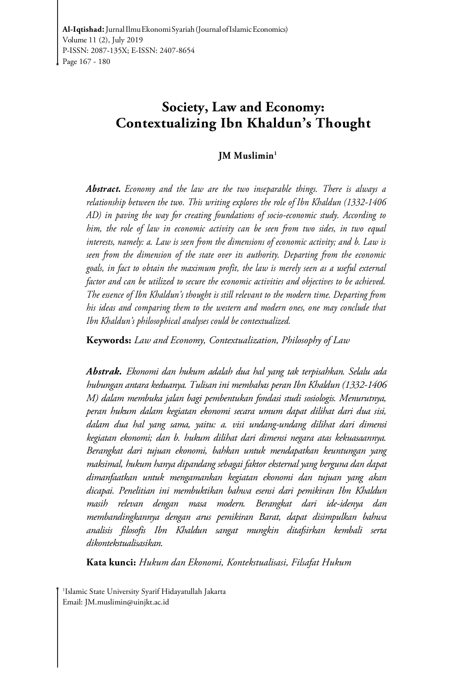## **Society, Law and Economy: Contextualizing Ibn Khaldun's Thought**

#### **JM Muslimin<sup>1</sup>**

*Abstract. Economy and the law are the two inseparable things. There is always a relationship between the two. This writing explores the role of Ibn Khaldun (1332-1406 AD) in paving the way for creating foundations of socio-economic study. According to him, the role of law in economic activity can be seen from two sides, in two equal interests, namely: a. Law is seen from the dimensions of economic activity; and b. Law is seen from the dimension of the state over its authority. Departing from the economic goals, in fact to obtain the maximum profit, the law is merely seen as a useful external factor and can be utilized to secure the economic activities and objectives to be achieved. The essence of Ibn Khaldun's thought is still relevant to the modern time. Departing from his ideas and comparing them to the western and modern ones, one may conclude that Ibn Khaldun's philosophical analyses could be contextualized.* 

**Keywords:** *Law and Economy, Contextualization, Philosophy of Law* 

*Abstrak. Ekonomi dan hukum adalah dua hal yang tak terpisahkan. Selalu ada hubungan antara keduanya. Tulisan ini membahas peran Ibn Khaldun (1332-1406 M) dalam membuka jalan bagi pembentukan fondasi studi sosiologis. Menurutnya, peran hukum dalam kegiatan ekonomi secara umum dapat dilihat dari dua sisi, dalam dua hal yang sama, yaitu: a. visi undang-undang dilihat dari dimensi kegiatan ekonomi; dan b. hukum dilihat dari dimensi negara atas kekuasaannya. Berangkat dari tujuan ekonomi, bahkan untuk mendapatkan keuntungan yang maksimal, hukum hanya dipandang sebagai faktor eksternal yang berguna dan dapat dimanfaatkan untuk mengamankan kegiatan ekonomi dan tujuan yang akan dicapai. Penelitian ini membuktikan bahwa esensi dari pemikiran Ibn Khaldun masih relevan dengan masa modern. Berangkat dari ide-idenya dan membandingkannya dengan arus pemikiran Barat, dapat disimpulkan bahwa analisis filosofis Ibn Khaldun sangat mungkin ditafsirkan kembali serta dikontekstualisasikan.* 

**Kata kunci:** *Hukum dan Ekonomi, Kontekstualisasi, Filsafat Hukum*

1 Islamic State University Syarif Hidayatullah Jakarta Email: JM.muslimin@uinjkt.ac.id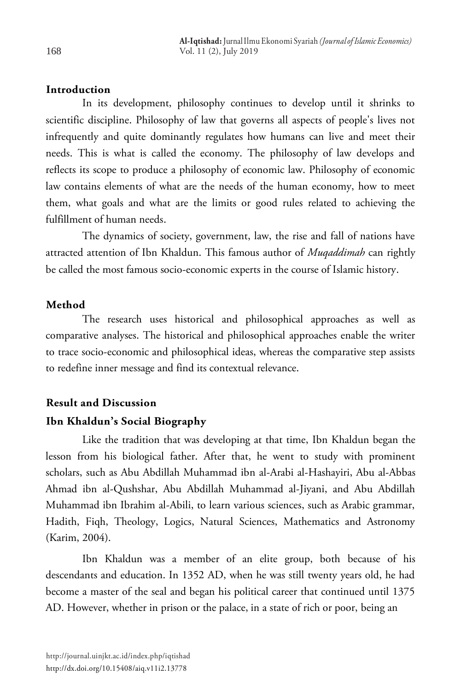## **Introduction**

In its development, philosophy continues to develop until it shrinks to scientific discipline. Philosophy of law that governs all aspects of people's lives not infrequently and quite dominantly regulates how humans can live and meet their needs. This is what is called the economy. The philosophy of law develops and reflects its scope to produce a philosophy of economic law. Philosophy of economic law contains elements of what are the needs of the human economy, how to meet them, what goals and what are the limits or good rules related to achieving the fulfillment of human needs.

The dynamics of society, government, law, the rise and fall of nations have attracted attention of Ibn Khaldun. This famous author of *Muqaddimah* can rightly be called the most famous socio-economic experts in the course of Islamic history.

### **Method**

The research uses historical and philosophical approaches as well as comparative analyses. The historical and philosophical approaches enable the writer to trace socio-economic and philosophical ideas, whereas the comparative step assists to redefine inner message and find its contextual relevance.

# **Result and Discussion**

## **Ibn Khaldun's Social Biography**

Like the tradition that was developing at that time, Ibn Khaldun began the lesson from his biological father. After that, he went to study with prominent scholars, such as Abu Abdillah Muhammad ibn al-Arabi al-Hashayiri, Abu al-Abbas Ahmad ibn al-Qushshar, Abu Abdillah Muhammad al-Jiyani, and Abu Abdillah Muhammad ibn Ibrahim al-Abili, to learn various sciences, such as Arabic grammar, Hadith, Fiqh, Theology, Logics, Natural Sciences, Mathematics and Astronomy (Karim, 2004).

Ibn Khaldun was a member of an elite group, both because of his descendants and education. In 1352 AD, when he was still twenty years old, he had become a master of the seal and began his political career that continued until 1375 AD. However, whether in prison or the palace, in a state of rich or poor, being an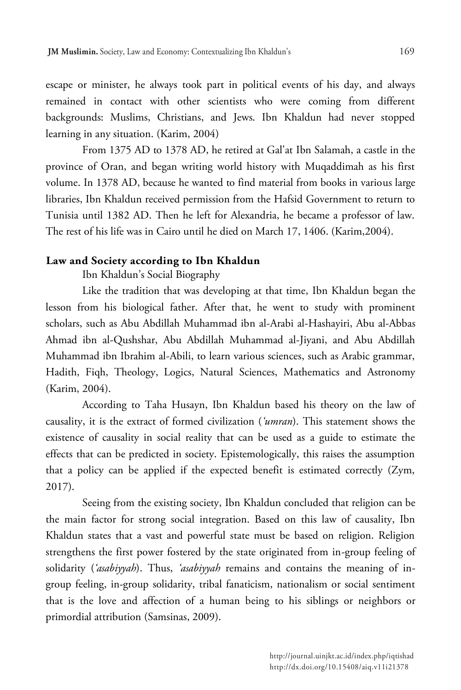escape or minister, he always took part in political events of his day, and always remained in contact with other scientists who were coming from different backgrounds: Muslims, Christians, and Jews. Ibn Khaldun had never stopped learning in any situation. (Karim, 2004)

From 1375 AD to 1378 AD, he retired at Gal'at Ibn Salamah, a castle in the province of Oran, and began writing world history with Muqaddimah as his first volume. In 1378 AD, because he wanted to find material from books in various large libraries, Ibn Khaldun received permission from the Hafsid Government to return to Tunisia until 1382 AD. Then he left for Alexandria, he became a professor of law. The rest of his life was in Cairo until he died on March 17, 1406. (Karim,2004).

## **Law and Society according to Ibn Khaldun**

Ibn Khaldun's Social Biography

Like the tradition that was developing at that time, Ibn Khaldun began the lesson from his biological father. After that, he went to study with prominent scholars, such as Abu Abdillah Muhammad ibn al-Arabi al-Hashayiri, Abu al-Abbas Ahmad ibn al-Qushshar, Abu Abdillah Muhammad al-Jiyani, and Abu Abdillah Muhammad ibn Ibrahim al-Abili, to learn various sciences, such as Arabic grammar, Hadith, Fiqh, Theology, Logics, Natural Sciences, Mathematics and Astronomy (Karim, 2004).

According to Taha Husayn, Ibn Khaldun based his theory on the law of causality, it is the extract of formed civilization (*'umran*). This statement shows the existence of causality in social reality that can be used as a guide to estimate the effects that can be predicted in society. Epistemologically, this raises the assumption that a policy can be applied if the expected benefit is estimated correctly (Zym, 2017).

Seeing from the existing society, Ibn Khaldun concluded that religion can be the main factor for strong social integration. Based on this law of causality, Ibn Khaldun states that a vast and powerful state must be based on religion. Religion strengthens the first power fostered by the state originated from in-group feeling of solidarity (*'asabiyyah*). Thus, *'asabiyyah* remains and contains the meaning of ingroup feeling, in-group solidarity, tribal fanaticism, nationalism or social sentiment that is the love and affection of a human being to his siblings or neighbors or primordial attribution (Samsinas, 2009).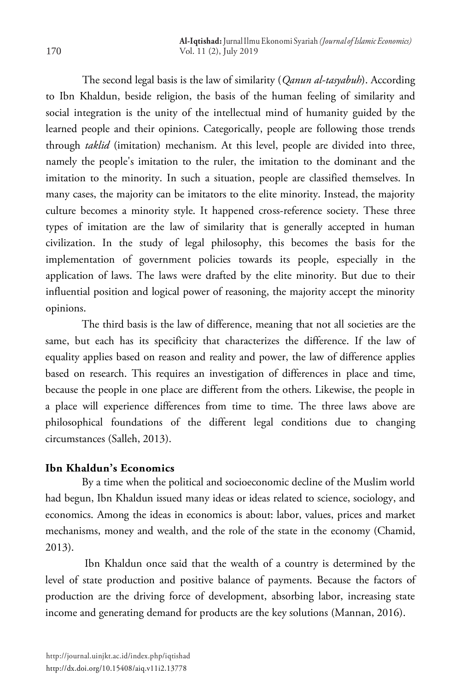The second legal basis is the law of similarity (*Qanun al-tasyabuh*). According to Ibn Khaldun, beside religion, the basis of the human feeling of similarity and social integration is the unity of the intellectual mind of humanity guided by the learned people and their opinions. Categorically, people are following those trends through *taklid* (imitation) mechanism. At this level, people are divided into three, namely the people's imitation to the ruler, the imitation to the dominant and the imitation to the minority. In such a situation, people are classified themselves. In many cases, the majority can be imitators to the elite minority. Instead, the majority culture becomes a minority style. It happened cross-reference society. These three types of imitation are the law of similarity that is generally accepted in human civilization. In the study of legal philosophy, this becomes the basis for the implementation of government policies towards its people, especially in the application of laws. The laws were drafted by the elite minority. But due to their influential position and logical power of reasoning, the majority accept the minority opinions.

The third basis is the law of difference, meaning that not all societies are the same, but each has its specificity that characterizes the difference. If the law of equality applies based on reason and reality and power, the law of difference applies based on research. This requires an investigation of differences in place and time, because the people in one place are different from the others. Likewise, the people in a place will experience differences from time to time. The three laws above are philosophical foundations of the different legal conditions due to changing circumstances (Salleh, 2013).

## **Ibn Khaldun's Economics**

By a time when the political and socioeconomic decline of the Muslim world had begun, Ibn Khaldun issued many ideas or ideas related to science, sociology, and economics. Among the ideas in economics is about: labor, values, prices and market mechanisms, money and wealth, and the role of the state in the economy (Chamid, 2013).

Ibn Khaldun once said that the wealth of a country is determined by the level of state production and positive balance of payments. Because the factors of production are the driving force of development, absorbing labor, increasing state income and generating demand for products are the key solutions (Mannan, 2016).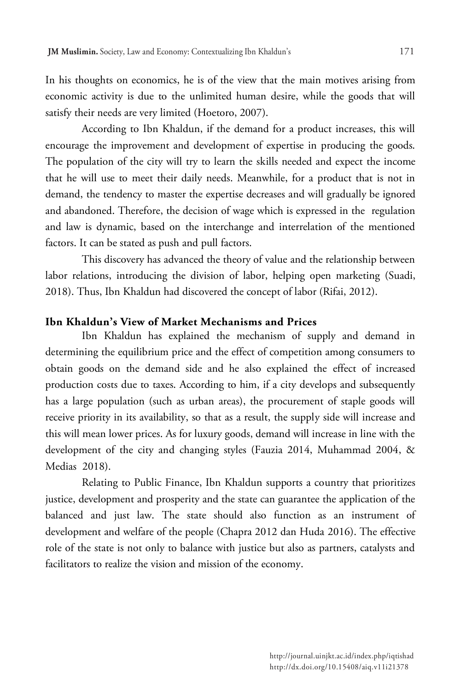In his thoughts on economics, he is of the view that the main motives arising from economic activity is due to the unlimited human desire, while the goods that will satisfy their needs are very limited (Hoetoro, 2007).

According to Ibn Khaldun, if the demand for a product increases, this will encourage the improvement and development of expertise in producing the goods. The population of the city will try to learn the skills needed and expect the income that he will use to meet their daily needs. Meanwhile, for a product that is not in demand, the tendency to master the expertise decreases and will gradually be ignored and abandoned. Therefore, the decision of wage which is expressed in the regulation and law is dynamic, based on the interchange and interrelation of the mentioned factors. It can be stated as push and pull factors.

This discovery has advanced the theory of value and the relationship between labor relations, introducing the division of labor, helping open marketing (Suadi, 2018). Thus, Ibn Khaldun had discovered the concept of labor (Rifai, 2012).

## **Ibn Khaldun's View of Market Mechanisms and Prices**

Ibn Khaldun has explained the mechanism of supply and demand in determining the equilibrium price and the effect of competition among consumers to obtain goods on the demand side and he also explained the effect of increased production costs due to taxes. According to him, if a city develops and subsequently has a large population (such as urban areas), the procurement of staple goods will receive priority in its availability, so that as a result, the supply side will increase and this will mean lower prices. As for luxury goods, demand will increase in line with the development of the city and changing styles (Fauzia 2014, Muhammad 2004, & Medias 2018).

Relating to Public Finance, Ibn Khaldun supports a country that prioritizes justice, development and prosperity and the state can guarantee the application of the balanced and just law. The state should also function as an instrument of development and welfare of the people (Chapra 2012 dan Huda 2016). The effective role of the state is not only to balance with justice but also as partners, catalysts and facilitators to realize the vision and mission of the economy.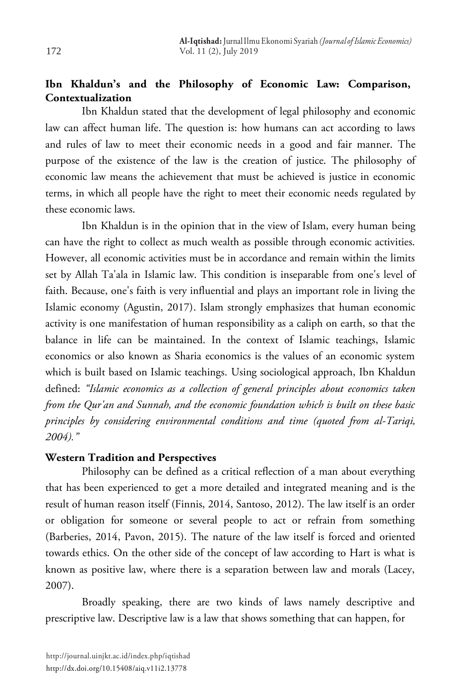## **Ibn Khaldun's and the Philosophy of Economic Law: Comparison, Contextualization**

Ibn Khaldun stated that the development of legal philosophy and economic law can affect human life. The question is: how humans can act according to laws and rules of law to meet their economic needs in a good and fair manner. The purpose of the existence of the law is the creation of justice. The philosophy of economic law means the achievement that must be achieved is justice in economic terms, in which all people have the right to meet their economic needs regulated by these economic laws.

Ibn Khaldun is in the opinion that in the view of Islam, every human being can have the right to collect as much wealth as possible through economic activities. However, all economic activities must be in accordance and remain within the limits set by Allah Ta'ala in Islamic law. This condition is inseparable from one's level of faith. Because, one's faith is very influential and plays an important role in living the Islamic economy (Agustin, 2017). Islam strongly emphasizes that human economic activity is one manifestation of human responsibility as a caliph on earth, so that the balance in life can be maintained. In the context of Islamic teachings, Islamic economics or also known as Sharia economics is the values of an economic system which is built based on Islamic teachings. Using sociological approach, Ibn Khaldun defined: *"Islamic economics as a collection of general principles about economics taken from the Qur'an and Sunnah, and the economic foundation which is built on these basic principles by considering environmental conditions and time (quoted from al-Tariqi, 2004)."*

## **Western Tradition and Perspectives**

Philosophy can be defined as a critical reflection of a man about everything that has been experienced to get a more detailed and integrated meaning and is the result of human reason itself (Finnis, 2014, Santoso, 2012). The law itself is an order or obligation for someone or several people to act or refrain from something (Barberies, 2014, Pavon, 2015). The nature of the law itself is forced and oriented towards ethics. On the other side of the concept of law according to Hart is what is known as positive law, where there is a separation between law and morals (Lacey, 2007).

Broadly speaking, there are two kinds of laws namely descriptive and prescriptive law. Descriptive law is a law that shows something that can happen, for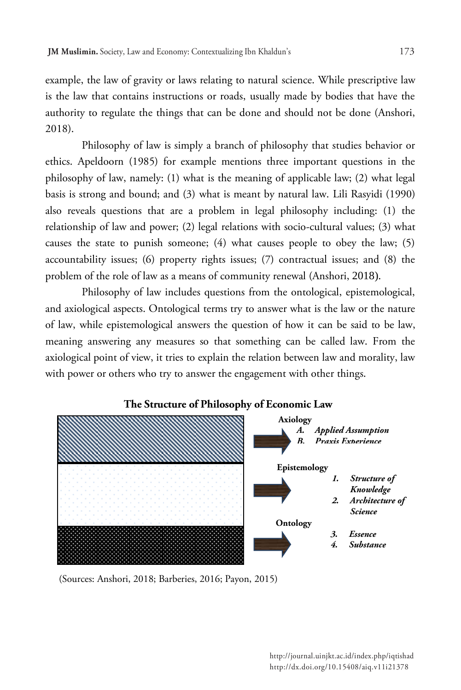example, the law of gravity or laws relating to natural science. While prescriptive law is the law that contains instructions or roads, usually made by bodies that have the authority to regulate the things that can be done and should not be done (Anshori, 2018).

Philosophy of law is simply a branch of philosophy that studies behavior or ethics. Apeldoorn (1985) for example mentions three important questions in the philosophy of law, namely: (1) what is the meaning of applicable law; (2) what legal basis is strong and bound; and (3) what is meant by natural law. Lili Rasyidi (1990) also reveals questions that are a problem in legal philosophy including: (1) the relationship of law and power; (2) legal relations with socio-cultural values; (3) what causes the state to punish someone; (4) what causes people to obey the law; (5) accountability issues; (6) property rights issues; (7) contractual issues; and (8) the problem of the role of law as a means of community renewal (Anshori, 2018).

Philosophy of law includes questions from the ontological, epistemological, and axiological aspects. Ontological terms try to answer what is the law or the nature of law, while epistemological answers the question of how it can be said to be law, meaning answering any measures so that something can be called law. From the axiological point of view, it tries to explain the relation between law and morality, law with power or others who try to answer the engagement with other things.



## **The Structure of Philosophy of Economic Law**

(Sources: Anshori, 2018; Barberies, 2016; Payon, 2015)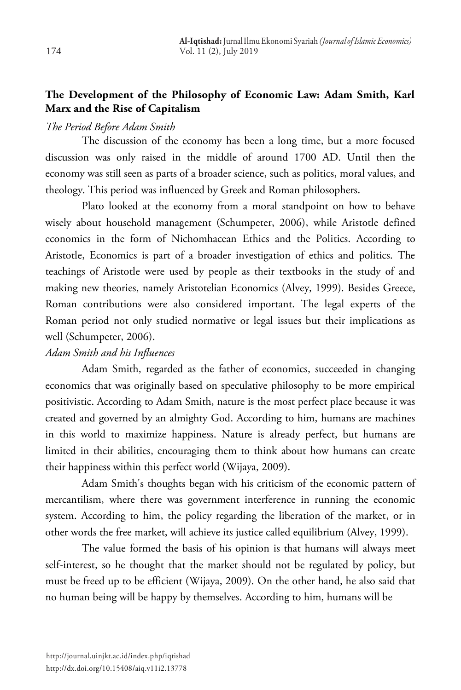## **The Development of the Philosophy of Economic Law: Adam Smith, Karl Marx and the Rise of Capitalism**

## *The Period Before Adam Smith*

The discussion of the economy has been a long time, but a more focused discussion was only raised in the middle of around 1700 AD. Until then the economy was still seen as parts of a broader science, such as politics, moral values, and theology. This period was influenced by Greek and Roman philosophers.

Plato looked at the economy from a moral standpoint on how to behave wisely about household management (Schumpeter, 2006), while Aristotle defined economics in the form of Nichomhacean Ethics and the Politics. According to Aristotle, Economics is part of a broader investigation of ethics and politics. The teachings of Aristotle were used by people as their textbooks in the study of and making new theories, namely Aristotelian Economics (Alvey, 1999). Besides Greece, Roman contributions were also considered important. The legal experts of the Roman period not only studied normative or legal issues but their implications as well (Schumpeter, 2006).

## *Adam Smith and his Influences*

Adam Smith, regarded as the father of economics, succeeded in changing economics that was originally based on speculative philosophy to be more empirical positivistic. According to Adam Smith, nature is the most perfect place because it was created and governed by an almighty God. According to him, humans are machines in this world to maximize happiness. Nature is already perfect, but humans are limited in their abilities, encouraging them to think about how humans can create their happiness within this perfect world (Wijaya, 2009).

Adam Smith's thoughts began with his criticism of the economic pattern of mercantilism, where there was government interference in running the economic system. According to him, the policy regarding the liberation of the market, or in other words the free market, will achieve its justice called equilibrium (Alvey, 1999).

The value formed the basis of his opinion is that humans will always meet self-interest, so he thought that the market should not be regulated by policy, but must be freed up to be efficient (Wijaya, 2009). On the other hand, he also said that no human being will be happy by themselves. According to him, humans will be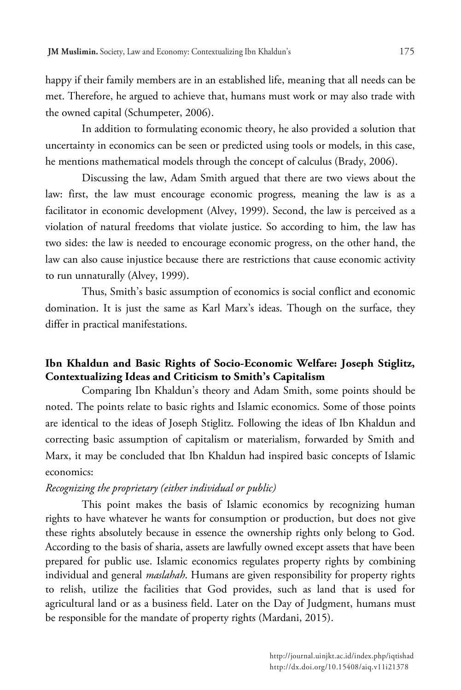happy if their family members are in an established life, meaning that all needs can be met. Therefore, he argued to achieve that, humans must work or may also trade with the owned capital (Schumpeter, 2006).

In addition to formulating economic theory, he also provided a solution that uncertainty in economics can be seen or predicted using tools or models, in this case, he mentions mathematical models through the concept of calculus (Brady, 2006).

Discussing the law, Adam Smith argued that there are two views about the law: first, the law must encourage economic progress, meaning the law is as a facilitator in economic development (Alvey, 1999). Second, the law is perceived as a violation of natural freedoms that violate justice. So according to him, the law has two sides: the law is needed to encourage economic progress, on the other hand, the law can also cause injustice because there are restrictions that cause economic activity to run unnaturally (Alvey, 1999).

Thus, Smith's basic assumption of economics is social conflict and economic domination. It is just the same as Karl Marx's ideas. Though on the surface, they differ in practical manifestations.

## **Ibn Khaldun and Basic Rights of Socio-Economic Welfare: Joseph Stiglitz, Contextualizing Ideas and Criticism to Smith's Capitalism**

Comparing Ibn Khaldun's theory and Adam Smith, some points should be noted. The points relate to basic rights and Islamic economics. Some of those points are identical to the ideas of Joseph Stiglitz. Following the ideas of Ibn Khaldun and correcting basic assumption of capitalism or materialism, forwarded by Smith and Marx, it may be concluded that Ibn Khaldun had inspired basic concepts of Islamic economics:

#### *Recognizing the proprietary (either individual or public)*

This point makes the basis of Islamic economics by recognizing human rights to have whatever he wants for consumption or production, but does not give these rights absolutely because in essence the ownership rights only belong to God. According to the basis of sharia, assets are lawfully owned except assets that have been prepared for public use. Islamic economics regulates property rights by combining individual and general *maslahah*. Humans are given responsibility for property rights to relish, utilize the facilities that God provides, such as land that is used for agricultural land or as a business field. Later on the Day of Judgment, humans must be responsible for the mandate of property rights (Mardani, 2015).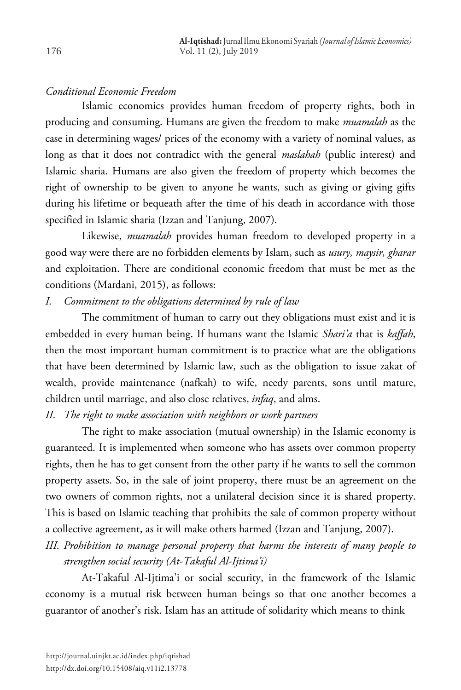## *Conditional Economic Freedom*

Islamic economics provides human freedom of property rights, both in producing and consuming. Humans are given the freedom to make *muamalah* as the case in determining wages/ prices of the economy with a variety of nominal values, as long as that it does not contradict with the general *maslahah* (public interest) and Islamic sharia. Humans are also given the freedom of property which becomes the right of ownership to be given to anyone he wants, such as giving or giving gifts during his lifetime or bequeath after the time of his death in accordance with those specified in Islamic sharia (Izzan and Tanjung, 2007).

Likewise, *muamalah* provides human freedom to developed property in a good way were there are no forbidden elements by Islam, such as *usury, maysir, gharar* and exploitation. There are conditional economic freedom that must be met as the conditions (Mardani, 2015), as follows:

## *I. Commitment to the obligations determined by rule of law*

The commitment of human to carry out they obligations must exist and it is embedded in every human being. If humans want the Islamic *Shari'a* that is *kaffah*, then the most important human commitment is to practice what are the obligations that have been determined by Islamic law, such as the obligation to issue zakat of wealth, provide maintenance (nafkah) to wife, needy parents, sons until mature, children until marriage, and also close relatives, *infaq*, and alms.

*II. The right to make association with neighbors or work partners*

The right to make association (mutual ownership) in the Islamic economy is guaranteed. It is implemented when someone who has assets over common property rights, then he has to get consent from the other party if he wants to sell the common property assets. So, in the sale of joint property, there must be an agreement on the two owners of common rights, not a unilateral decision since it is shared property. This is based on Islamic teaching that prohibits the sale of common property without a collective agreement, as it will make others harmed (Izzan and Tanjung, 2007).

## *III. Prohibition to manage personal property that harms the interests of many people to strengthen social security (At-Takaful Al-Ijtima'i)*

At-Takaful Al-Ijtima'i or social security, in the framework of the Islamic economy is a mutual risk between human beings so that one another becomes a guarantor of another's risk. Islam has an attitude of solidarity which means to think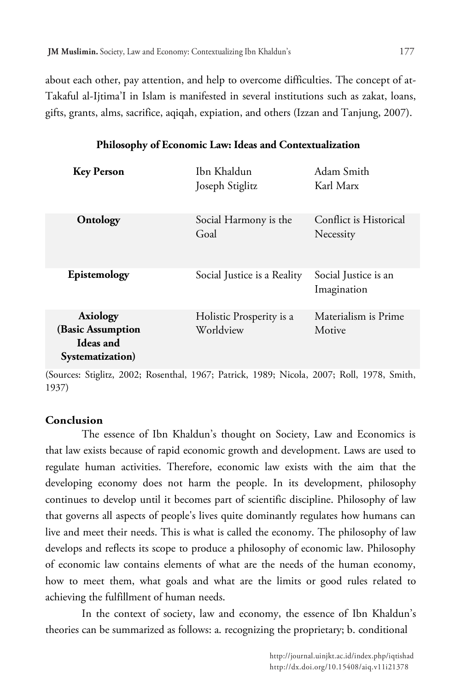about each other, pay attention, and help to overcome difficulties. The concept of at-Takaful al-Ijtima'I in Islam is manifested in several institutions such as zakat, loans, gifts, grants, alms, sacrifice, aqiqah, expiation, and others (Izzan and Tanjung, 2007).

| <b>Key Person</b>                                                     | Ibn Khaldun<br>Joseph Stiglitz        | Adam Smith<br>Karl Marx             |
|-----------------------------------------------------------------------|---------------------------------------|-------------------------------------|
| Ontology                                                              | Social Harmony is the<br>Goal         | Conflict is Historical<br>Necessity |
| Epistemology                                                          | Social Justice is a Reality           | Social Justice is an<br>Imagination |
| <b>Axiology</b><br>(Basic Assumption<br>Ideas and<br>Systematization) | Holistic Prosperity is a<br>Worldview | Materialism is Prime<br>Motive      |

## **Philosophy of Economic Law: Ideas and Contextualization**

(Sources: Stiglitz, 2002; Rosenthal, 1967; Patrick, 1989; Nicola, 2007; Roll, 1978, Smith, 1937)

## **Conclusion**

The essence of Ibn Khaldun's thought on Society, Law and Economics is that law exists because of rapid economic growth and development. Laws are used to regulate human activities. Therefore, economic law exists with the aim that the developing economy does not harm the people. In its development, philosophy continues to develop until it becomes part of scientific discipline. Philosophy of law that governs all aspects of people's lives quite dominantly regulates how humans can live and meet their needs. This is what is called the economy. The philosophy of law develops and reflects its scope to produce a philosophy of economic law. Philosophy of economic law contains elements of what are the needs of the human economy, how to meet them, what goals and what are the limits or good rules related to achieving the fulfillment of human needs.

In the context of society, law and economy, the essence of Ibn Khaldun's theories can be summarized as follows: a. recognizing the proprietary; b. conditional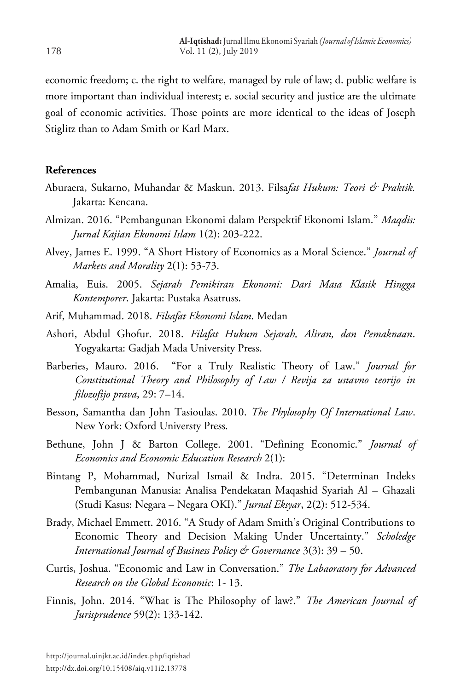economic freedom; c. the right to welfare, managed by rule of law; d. public welfare is more important than individual interest; e. social security and justice are the ultimate goal of economic activities. Those points are more identical to the ideas of Joseph Stiglitz than to Adam Smith or Karl Marx.

#### **References**

- Aburaera, Sukarno, Muhandar & Maskun. 2013. Filsa*fat Hukum: Teori & Praktik.* Jakarta: Kencana.
- Almizan. 2016. "Pembangunan Ekonomi dalam Perspektif Ekonomi Islam." *Maqdis: Jurnal Kajian Ekonomi Islam* 1(2): 203-222.
- Alvey, James E. 1999. "A Short History of Economics as a Moral Science." *Journal of Markets and Morality* 2(1): 53-73.
- Amalia, Euis. 2005. *Sejarah Pemikiran Ekonomi: Dari Masa Klasik Hingga Kontemporer*. Jakarta: Pustaka Asatruss.
- Arif, Muhammad. 2018. *Filsafat Ekonomi Islam*. Medan
- Ashori, Abdul Ghofur. 2018. *Filafat Hukum Sejarah, Aliran, dan Pemaknaan*. Yogyakarta: Gadjah Mada University Press.
- Barberies, Mauro. 2016. "For a Truly Realistic Theory of Law." *Journal for Constitutional Theory and Philosophy of Law / Revija za ustavno teorijo in filozofijo prava*, 29: 7–14.
- Besson, Samantha dan John Tasioulas. 2010. *The Phylosophy Of International Law*. New York: Oxford Universty Press.
- Bethune, John J & Barton College. 2001. "Defining Economic." *Journal of Economics and Economic Education Research* 2(1):
- Bintang P, Mohammad, Nurizal Ismail & Indra. 2015. "Determinan Indeks Pembangunan Manusia: Analisa Pendekatan Maqashid Syariah Al – Ghazali (Studi Kasus: Negara – Negara OKI)." *Jurnal Eksyar*, 2(2): 512-534.
- Brady, Michael Emmett. 2016. "A Study of Adam Smith's Original Contributions to Economic Theory and Decision Making Under Uncertainty." *Scholedge International Journal of Business Policy & Governance* 3(3): 39 – 50.
- Curtis, Joshua. "Economic and Law in Conversation." *The Labaoratory for Advanced Research on the Global Economic*: 1- 13.
- Finnis, John. 2014. "What is The Philosophy of law?." *The American Journal of Jurisprudence* 59(2): 133-142.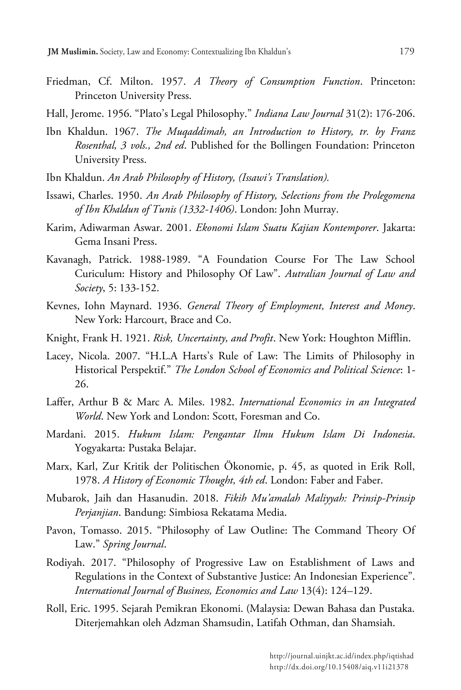- Friedman, Cf. Milton. 1957. *A Theory of Consumption Function*. Princeton: Princeton University Press.
- Hall, Jerome. 1956. "Plato's Legal Philosophy." *Indiana Law Journal* 31(2): 176-206.
- Ibn Khaldun. 1967. *The Muqaddimah, an Introduction to History, tr. by Franz Rosenthal, 3 vols., 2nd ed*. Published for the Bollingen Foundation: Princeton University Press.
- Ibn Khaldun. *An Arab Philosophy of History, (Issawi's Translation).*
- Issawi, Charles. 1950. *An Arab Philosophy of History, Selections from the Prolegomena of Ibn Khaldun of Tunis (1332-1406)*. London: John Murray.
- Karim, Adiwarman Aswar. 2001. *Ekonomi Islam Suatu Kajian Kontemporer*. Jakarta: Gema Insani Press.
- Kavanagh, Patrick. 1988-1989. "A Foundation Course For The Law School Curiculum: History and Philosophy Of Law". *Autralian Journal of Law and Society*, 5: 133-152.
- Kevnes, Iohn Maynard. 1936. *General Theory of Employment, Interest and Money*. New York: Harcourt, Brace and Co.
- Knight, Frank H. 1921. *Risk, Uncertainty, and Profit*. New York: Houghton Mifflin.
- Lacey, Nicola. 2007. "H.L.A Harts's Rule of Law: The Limits of Philosophy in Historical Perspektif." *The London School of Economics and Political Science*: 1- 26.
- Laffer, Arthur B & Marc A. Miles. 1982. *International Economics in an Integrated World*. New York and London: Scott, Foresman and Co.
- Mardani. 2015. *Hukum Islam: Pengantar Ilmu Hukum Islam Di Indonesia*. Yogyakarta: Pustaka Belajar.
- Marx, Karl, Zur Kritik der Politischen Ökonomie, p. 45, as quoted in Erik Roll, 1978. *A History of Economic Thought, 4th ed*. London: Faber and Faber.
- Mubarok, Jaih dan Hasanudin. 2018. *Fikih Mu'amalah Maliyyah: Prinsip-Prinsip Perjanjian*. Bandung: Simbiosa Rekatama Media.
- Pavon, Tomasso. 2015. "Philosophy of Law Outline: The Command Theory Of Law." *Spring Journal*.
- Rodiyah. 2017. "Philosophy of Progressive Law on Establishment of Laws and Regulations in the Context of Substantive Justice: An Indonesian Experience". *International Journal of Business, Economics and Law* 13(4): 124–129.
- Roll, Eric. 1995. Sejarah Pemikran Ekonomi. (Malaysia: Dewan Bahasa dan Pustaka. Diterjemahkan oleh Adzman Shamsudin, Latifah Othman, dan Shamsiah.